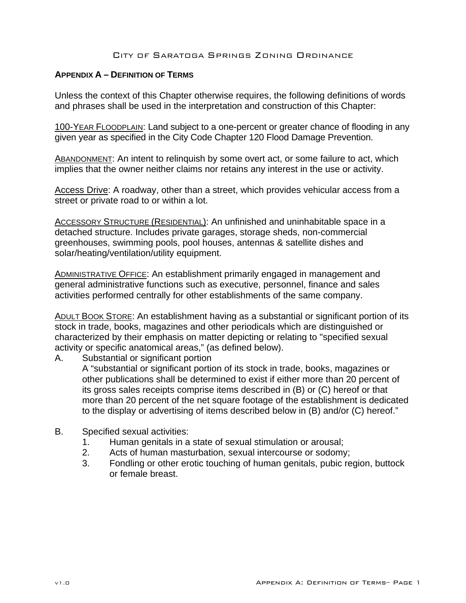## **APPENDIX A – DEFINITION OF TERMS**

Unless the context of this Chapter otherwise requires, the following definitions of words and phrases shall be used in the interpretation and construction of this Chapter:

100-YEAR FLOODPLAIN: Land subject to a one-percent or greater chance of flooding in any given year as specified in the City Code Chapter 120 Flood Damage Prevention.

ABANDONMENT: An intent to relinquish by some overt act, or some failure to act, which implies that the owner neither claims nor retains any interest in the use or activity.

Access Drive: A roadway, other than a street, which provides vehicular access from a street or private road to or within a lot.

ACCESSORY STRUCTURE (RESIDENTIAL): An unfinished and uninhabitable space in a detached structure. Includes private garages, storage sheds, non-commercial greenhouses, swimming pools, pool houses, antennas & satellite dishes and solar/heating/ventilation/utility equipment.

ADMINISTRATIVE OFFICE: An establishment primarily engaged in management and general administrative functions such as executive, personnel, finance and sales activities performed centrally for other establishments of the same company.

ADULT BOOK STORE: An establishment having as a substantial or significant portion of its stock in trade, books, magazines and other periodicals which are distinguished or characterized by their emphasis on matter depicting or relating to "specified sexual activity or specific anatomical areas," (as defined below).

A. Substantial or significant portion

A "substantial or significant portion of its stock in trade, books, magazines or other publications shall be determined to exist if either more than 20 percent of its gross sales receipts comprise items described in (B) or (C) hereof or that more than 20 percent of the net square footage of the establishment is dedicated to the display or advertising of items described below in (B) and/or (C) hereof."

- B. Specified sexual activities:
	- 1. Human genitals in a state of sexual stimulation or arousal;
	- 2. Acts of human masturbation, sexual intercourse or sodomy;
	- 3. Fondling or other erotic touching of human genitals, pubic region, buttock or female breast.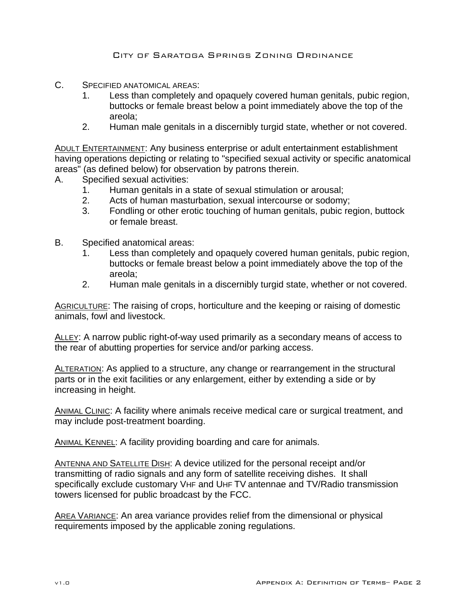- C. SPECIFIED ANATOMICAL AREAS:
	- 1. Less than completely and opaquely covered human genitals, pubic region, buttocks or female breast below a point immediately above the top of the areola;
	- 2. Human male genitals in a discernibly turgid state, whether or not covered.

ADULT ENTERTAINMENT: Any business enterprise or adult entertainment establishment having operations depicting or relating to "specified sexual activity or specific anatomical areas" (as defined below) for observation by patrons therein.

- A. Specified sexual activities:
	- 1. Human genitals in a state of sexual stimulation or arousal;
	- 2. Acts of human masturbation, sexual intercourse or sodomy;
	- 3. Fondling or other erotic touching of human genitals, pubic region, buttock or female breast.
- B. Specified anatomical areas:
	- 1. Less than completely and opaquely covered human genitals, pubic region, buttocks or female breast below a point immediately above the top of the areola;
	- 2. Human male genitals in a discernibly turgid state, whether or not covered.

AGRICULTURE: The raising of crops, horticulture and the keeping or raising of domestic animals, fowl and livestock.

ALLEY: A narrow public right-of-way used primarily as a secondary means of access to the rear of abutting properties for service and/or parking access.

ALTERATION: As applied to a structure, any change or rearrangement in the structural parts or in the exit facilities or any enlargement, either by extending a side or by increasing in height.

ANIMAL CLINIC: A facility where animals receive medical care or surgical treatment, and may include post-treatment boarding.

ANIMAL KENNEL: A facility providing boarding and care for animals.

ANTENNA AND SATELLITE DISH: A device utilized for the personal receipt and/or transmitting of radio signals and any form of satellite receiving dishes. It shall specifically exclude customary VHF and UHF TV antennae and TV/Radio transmission towers licensed for public broadcast by the FCC.

AREA VARIANCE: An area variance provides relief from the dimensional or physical requirements imposed by the applicable zoning regulations.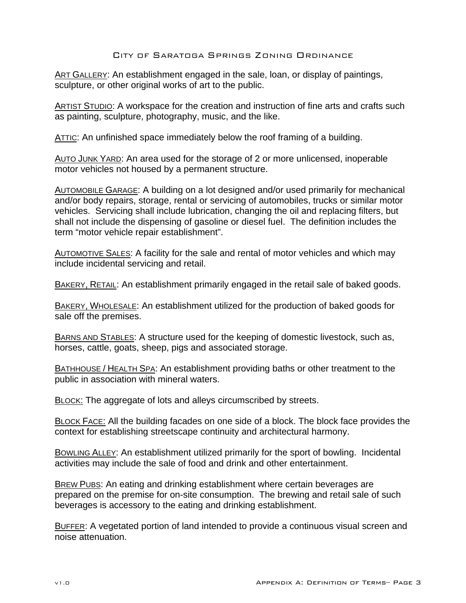ART GALLERY: An establishment engaged in the sale, loan, or display of paintings, sculpture, or other original works of art to the public.

ARTIST STUDIO: A workspace for the creation and instruction of fine arts and crafts such as painting, sculpture, photography, music, and the like.

ATTIC: An unfinished space immediately below the roof framing of a building.

AUTO JUNK YARD: An area used for the storage of 2 or more unlicensed, inoperable motor vehicles not housed by a permanent structure.

AUTOMOBILE GARAGE: A building on a lot designed and/or used primarily for mechanical and/or body repairs, storage, rental or servicing of automobiles, trucks or similar motor vehicles. Servicing shall include lubrication, changing the oil and replacing filters, but shall not include the dispensing of gasoline or diesel fuel. The definition includes the term "motor vehicle repair establishment".

AUTOMOTIVE SALES: A facility for the sale and rental of motor vehicles and which may include incidental servicing and retail.

BAKERY, RETAIL: An establishment primarily engaged in the retail sale of baked goods.

BAKERY, WHOLESALE: An establishment utilized for the production of baked goods for sale off the premises.

BARNS AND STABLES: A structure used for the keeping of domestic livestock, such as, horses, cattle, goats, sheep, pigs and associated storage.

BATHHOUSE / HEALTH SPA: An establishment providing baths or other treatment to the public in association with mineral waters.

BLOCK: The aggregate of lots and alleys circumscribed by streets.

BLOCK FACE: All the building facades on one side of a block. The block face provides the context for establishing streetscape continuity and architectural harmony.

BOWLING ALLEY: An establishment utilized primarily for the sport of bowling. Incidental activities may include the sale of food and drink and other entertainment.

BREW PUBS: An eating and drinking establishment where certain beverages are prepared on the premise for on-site consumption. The brewing and retail sale of such beverages is accessory to the eating and drinking establishment.

BUFFER: A vegetated portion of land intended to provide a continuous visual screen and noise attenuation.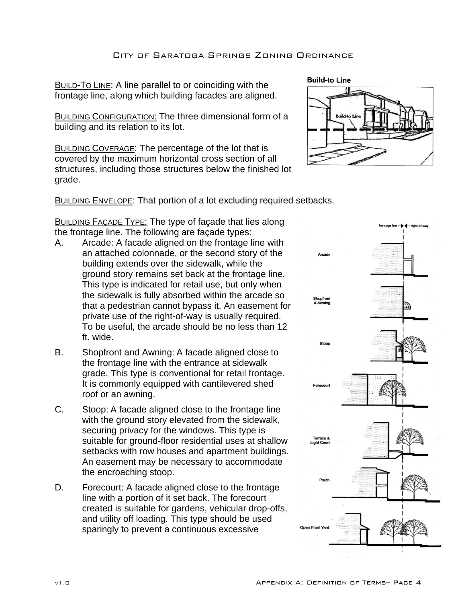BUILD-TO LINE: A line parallel to or coinciding with the frontage line, along which building facades are aligned.

**BUILDING CONFIGURATION: The three dimensional form of a** building and its relation to its lot.

BUILDING COVERAGE: The percentage of the lot that is covered by the maximum horizontal cross section of all structures, including those structures below the finished lot grade.

**Build-to Line** 

**BUILDING ENVELOPE: That portion of a lot excluding required setbacks.** 

**BUILDING FAÇADE TYPE: The type of façade that lies along** the frontage line. The following are façade types:

- A. Arcade: A facade aligned on the frontage line with an attached colonnade, or the second story of the building extends over the sidewalk, while the ground story remains set back at the frontage line. This type is indicated for retail use, but only when the sidewalk is fully absorbed within the arcade so that a pedestrian cannot bypass it. An easement for private use of the right-of-way is usually required. To be useful, the arcade should be no less than 12 ft. wide.
- B. Shopfront and Awning: A facade aligned close to the frontage line with the entrance at sidewalk grade. This type is conventional for retail frontage. It is commonly equipped with cantilevered shed roof or an awning.
- C. Stoop: A facade aligned close to the frontage line with the ground story elevated from the sidewalk, securing privacy for the windows. This type is suitable for ground-floor residential uses at shallow setbacks with row houses and apartment buildings. An easement may be necessary to accommodate the encroaching stoop.
- D. Forecourt: A facade aligned close to the frontage line with a portion of it set back. The forecourt created is suitable for gardens, vehicular drop-offs, and utility off loading. This type should be used sparingly to prevent a continuous excessive

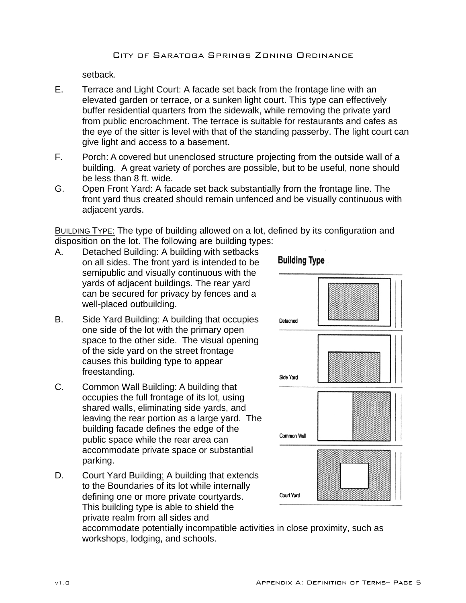setback.

- E. Terrace and Light Court: A facade set back from the frontage line with an elevated garden or terrace, or a sunken light court. This type can effectively buffer residential quarters from the sidewalk, while removing the private yard from public encroachment. The terrace is suitable for restaurants and cafes as the eye of the sitter is level with that of the standing passerby. The light court can give light and access to a basement.
- F. Porch: A covered but unenclosed structure projecting from the outside wall of a building. A great variety of porches are possible, but to be useful, none should be less than 8 ft. wide.
- G. Open Front Yard: A facade set back substantially from the frontage line. The front yard thus created should remain unfenced and be visually continuous with adjacent yards.

BUILDING TYPE: The type of building allowed on a lot, defined by its configuration and disposition on the lot. The following are building types:

- A. Detached Building: A building with setbacks on all sides. The front yard is intended to be semipublic and visually continuous with the yards of adjacent buildings. The rear yard can be secured for privacy by fences and a well-placed outbuilding.
- B. Side Yard Building: A building that occupies one side of the lot with the primary open space to the other side. The visual opening of the side yard on the street frontage causes this building type to appear freestanding.
- C. Common Wall Building: A building that occupies the full frontage of its lot, using shared walls, eliminating side yards, and leaving the rear portion as a large yard. The building facade defines the edge of the public space while the rear area can accommodate private space or substantial parking.
- D. Court Yard Building: A building that extends to the Boundaries of its lot while internally defining one or more private courtyards. This building type is able to shield the private realm from all sides and



accommodate potentially incompatible activities in close proximity, such as workshops, lodging, and schools.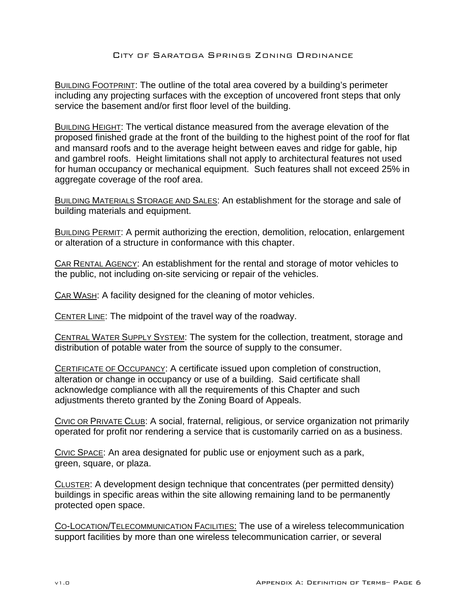BUILDING FOOTPRINT: The outline of the total area covered by a building's perimeter including any projecting surfaces with the exception of uncovered front steps that only service the basement and/or first floor level of the building.

BUILDING HEIGHT: The vertical distance measured from the average elevation of the proposed finished grade at the front of the building to the highest point of the roof for flat and mansard roofs and to the average height between eaves and ridge for gable, hip and gambrel roofs. Height limitations shall not apply to architectural features not used for human occupancy or mechanical equipment. Such features shall not exceed 25% in aggregate coverage of the roof area.

BUILDING MATERIALS STORAGE AND SALES: An establishment for the storage and sale of building materials and equipment.

BUILDING PERMIT: A permit authorizing the erection, demolition, relocation, enlargement or alteration of a structure in conformance with this chapter.

CAR RENTAL AGENCY: An establishment for the rental and storage of motor vehicles to the public, not including on-site servicing or repair of the vehicles.

CAR WASH: A facility designed for the cleaning of motor vehicles.

CENTER LINE: The midpoint of the travel way of the roadway.

CENTRAL WATER SUPPLY SYSTEM: The system for the collection, treatment, storage and distribution of potable water from the source of supply to the consumer.

CERTIFICATE OF OCCUPANCY: A certificate issued upon completion of construction, alteration or change in occupancy or use of a building. Said certificate shall acknowledge compliance with all the requirements of this Chapter and such adjustments thereto granted by the Zoning Board of Appeals.

CIVIC OR PRIVATE CLUB: A social, fraternal, religious, or service organization not primarily operated for profit nor rendering a service that is customarily carried on as a business.

CIVIC SPACE: An area designated for public use or enjoyment such as a park, green, square, or plaza.

CLUSTER: A development design technique that concentrates (per permitted density) buildings in specific areas within the site allowing remaining land to be permanently protected open space.

CO-LOCATION/TELECOMMUNICATION FACILITIES: The use of a wireless telecommunication support facilities by more than one wireless telecommunication carrier, or several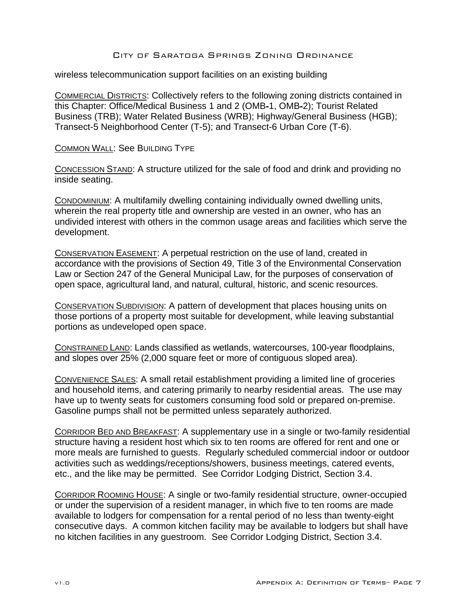wireless telecommunication support facilities on an existing building

COMMERCIAL DISTRICTS: Collectively refers to the following zoning districts contained in this Chapter: Office/Medical Business 1 and 2 (OMB-1, OMB-2); Tourist Related Business (TRB); Water Related Business (WRB); Highway/General Business (HGB); Transect-5 Neighborhood Center (T-5); and Transect-6 Urban Core (T-6).

COMMON WALL: See BUILDING TYPE

CONCESSION STAND: A structure utilized for the sale of food and drink and providing no inside seating.

CONDOMINIUM: A multifamily dwelling containing individually owned dwelling units, wherein the real property title and ownership are vested in an owner, who has an undivided interest with others in the common usage areas and facilities which serve the development.

CONSERVATION EASEMENT: A perpetual restriction on the use of land, created in accordance with the provisions of Section 49, Title 3 of the Environmental Conservation Law or Section 247 of the General Municipal Law, for the purposes of conservation of open space, agricultural land, and natural, cultural, historic, and scenic resources.

CONSERVATION SUBDIVISION: A pattern of development that places housing units on those portions of a property most suitable for development, while leaving substantial portions as undeveloped open space.

CONSTRAINED LAND: Lands classified as wetlands, watercourses, 100-year floodplains, and slopes over 25% (2,000 square feet or more of contiguous sloped area).

CONVENIENCE SALES: A small retail establishment providing a limited line of groceries and household items, and catering primarily to nearby residential areas. The use may have up to twenty seats for customers consuming food sold or prepared on-premise. Gasoline pumps shall not be permitted unless separately authorized.

CORRIDOR BED AND BREAKFAST: A supplementary use in a single or two-family residential structure having a resident host which six to ten rooms are offered for rent and one or more meals are furnished to guests. Regularly scheduled commercial indoor or outdoor activities such as weddings/receptions/showers, business meetings, catered events, etc., and the like may be permitted. See Corridor Lodging District, Section 3.4.

CORRIDOR ROOMING HOUSE: A single or two-family residential structure, owner-occupied or under the supervision of a resident manager, in which five to ten rooms are made available to lodgers for compensation for a rental period of no less than twenty-eight consecutive days. A common kitchen facility may be available to lodgers but shall have no kitchen facilities in any guestroom. See Corridor Lodging District, Section 3.4.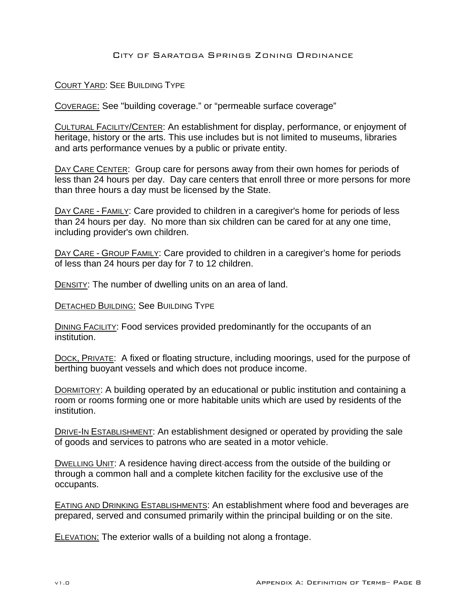# COURT YARD: SEE BUILDING TYPE

COVERAGE: See "building coverage." or "permeable surface coverage"

CULTURAL FACILITY/CENTER: An establishment for display, performance, or enjoyment of heritage, history or the arts. This use includes but is not limited to museums, libraries and arts performance venues by a public or private entity.

DAY CARE CENTER: Group care for persons away from their own homes for periods of less than 24 hours per day. Day care centers that enroll three or more persons for more than three hours a day must be licensed by the State.

DAY CARE - FAMILY: Care provided to children in a caregiver's home for periods of less than 24 hours per day. No more than six children can be cared for at any one time, including provider's own children.

DAY CARE - GROUP FAMILY: Care provided to children in a caregiver's home for periods of less than 24 hours per day for 7 to 12 children.

DENSITY: The number of dwelling units on an area of land.

DETACHED BUILDING: See BUILDING TYPE

DINING FACILITY: Food services provided predominantly for the occupants of an institution.

DOCK, PRIVATE: A fixed or floating structure, including moorings, used for the purpose of berthing buoyant vessels and which does not produce income.

DORMITORY: A building operated by an educational or public institution and containing a room or rooms forming one or more habitable units which are used by residents of the institution.

DRIVE-IN ESTABLISHMENT: An establishment designed or operated by providing the sale of goods and services to patrons who are seated in a motor vehicle.

DWELLING UNIT: A residence having direct access from the outside of the building or through a common hall and a complete kitchen facility for the exclusive use of the occupants.

EATING AND DRINKING ESTABLISHMENTS: An establishment where food and beverages are prepared, served and consumed primarily within the principal building or on the site.

ELEVATION: The exterior walls of a building not along a frontage.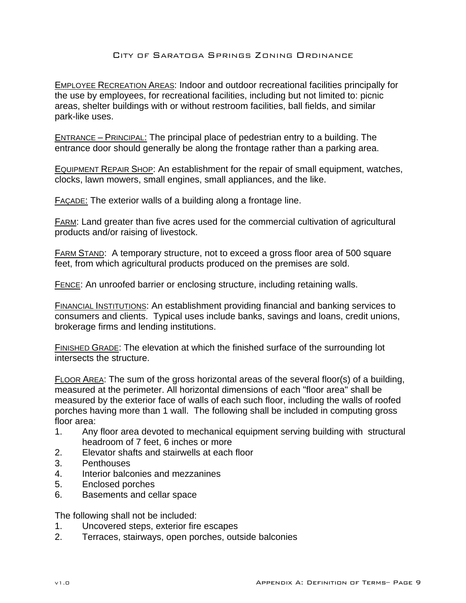EMPLOYEE RECREATION AREAS: Indoor and outdoor recreational facilities principally for the use by employees, for recreational facilities, including but not limited to: picnic areas, shelter buildings with or without restroom facilities, ball fields, and similar park-like uses.

ENTRANCE – PRINCIPAL: The principal place of pedestrian entry to a building. The entrance door should generally be along the frontage rather than a parking area.

EQUIPMENT REPAIR SHOP: An establishment for the repair of small equipment, watches, clocks, lawn mowers, small engines, small appliances, and the like.

FAÇADE: The exterior walls of a building along a frontage line.

FARM: Land greater than five acres used for the commercial cultivation of agricultural products and/or raising of livestock.

FARM STAND: A temporary structure, not to exceed a gross floor area of 500 square feet, from which agricultural products produced on the premises are sold.

FENCE: An unroofed barrier or enclosing structure, including retaining walls.

FINANCIAL INSTITUTIONS: An establishment providing financial and banking services to consumers and clients. Typical uses include banks, savings and loans, credit unions, brokerage firms and lending institutions.

FINISHED GRADE: The elevation at which the finished surface of the surrounding lot intersects the structure.

FLOOR AREA: The sum of the gross horizontal areas of the several floor(s) of a building, measured at the perimeter. All horizontal dimensions of each "floor area" shall be measured by the exterior face of walls of each such floor, including the walls of roofed porches having more than 1 wall. The following shall be included in computing gross floor area:

- 1. Any floor area devoted to mechanical equipment serving building with structural headroom of 7 feet, 6 inches or more
- 2. Elevator shafts and stairwells at each floor
- 3. Penthouses
- 4. Interior balconies and mezzanines
- 5. Enclosed porches
- 6. Basements and cellar space

The following shall not be included:

- 1. Uncovered steps, exterior fire escapes
- 2. Terraces, stairways, open porches, outside balconies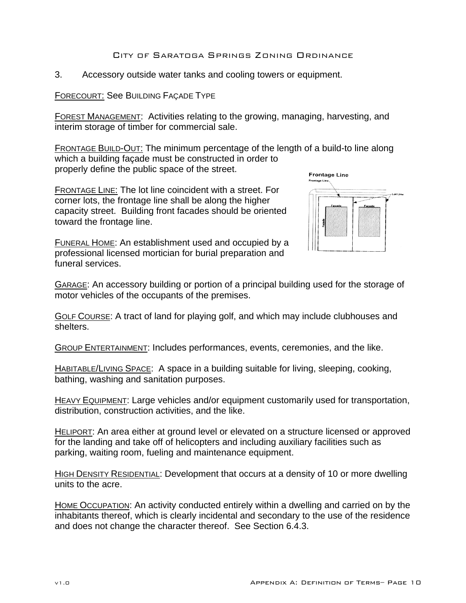3. Accessory outside water tanks and cooling towers or equipment.

# FORECOURT: See BUILDING FAÇADE TYPE

FOREST MANAGEMENT: Activities relating to the growing, managing, harvesting, and interim storage of timber for commercial sale.

FRONTAGE BUILD-OUT: The minimum percentage of the length of a build-to line along which a building façade must be constructed in order to properly define the public space of the street.

FRONTAGE LINE: The lot line coincident with a street. For corner lots, the frontage line shall be along the higher capacity street. Building front facades should be oriented toward the frontage line.

FUNERAL HOME: An establishment used and occupied by a professional licensed mortician for burial preparation and funeral services.



GARAGE: An accessory building or portion of a principal building used for the storage of motor vehicles of the occupants of the premises.

GOLF COURSE: A tract of land for playing golf, and which may include clubhouses and shelters.

GROUP ENTERTAINMENT: Includes performances, events, ceremonies, and the like.

HABITABLE/LIVING SPACE: A space in a building suitable for living, sleeping, cooking, bathing, washing and sanitation purposes.

HEAVY EQUIPMENT: Large vehicles and/or equipment customarily used for transportation, distribution, construction activities, and the like.

HELIPORT: An area either at ground level or elevated on a structure licensed or approved for the landing and take off of helicopters and including auxiliary facilities such as parking, waiting room, fueling and maintenance equipment.

HIGH DENSITY RESIDENTIAL: Development that occurs at a density of 10 or more dwelling units to the acre.

HOME OCCUPATION: An activity conducted entirely within a dwelling and carried on by the inhabitants thereof, which is clearly incidental and secondary to the use of the residence and does not change the character thereof. See Section 6.4.3.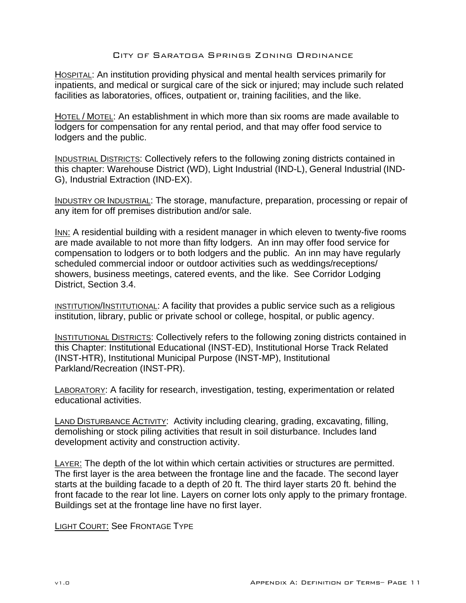HOSPITAL: An institution providing physical and mental health services primarily for inpatients, and medical or surgical care of the sick or injured; may include such related facilities as laboratories, offices, outpatient or, training facilities, and the like.

HOTEL / MOTEL: An establishment in which more than six rooms are made available to lodgers for compensation for any rental period, and that may offer food service to lodgers and the public.

**INDUSTRIAL DISTRICTS: Collectively refers to the following zoning districts contained in** this chapter: Warehouse District (WD), Light Industrial (IND-L), General Industrial (IND-G), Industrial Extraction (IND-EX).

INDUSTRY OR INDUSTRIAL: The storage, manufacture, preparation, processing or repair of any item for off premises distribution and/or sale.

INN: A residential building with a resident manager in which eleven to twenty-five rooms are made available to not more than fifty lodgers. An inn may offer food service for compensation to lodgers or to both lodgers and the public. An inn may have regularly scheduled commercial indoor or outdoor activities such as weddings/receptions/ showers, business meetings, catered events, and the like. See Corridor Lodging District, Section 3.4.

INSTITUTION/INSTITUTIONAL: A facility that provides a public service such as a religious institution, library, public or private school or college, hospital, or public agency.

INSTITUTIONAL DISTRICTS: Collectively refers to the following zoning districts contained in this Chapter: Institutional Educational (INST-ED), Institutional Horse Track Related (INST-HTR), Institutional Municipal Purpose (INST-MP), Institutional Parkland/Recreation (INST-PR).

LABORATORY: A facility for research, investigation, testing, experimentation or related educational activities.

LAND DISTURBANCE ACTIVITY:Activity including clearing, grading, excavating, filling, demolishing or stock piling activities that result in soil disturbance. Includes land development activity and construction activity.

LAYER: The depth of the lot within which certain activities or structures are permitted. The first layer is the area between the frontage line and the facade. The second layer starts at the building facade to a depth of 20 ft. The third layer starts 20 ft. behind the front facade to the rear lot line. Layers on corner lots only apply to the primary frontage. Buildings set at the frontage line have no first layer.

LIGHT COURT: See FRONTAGE TYPE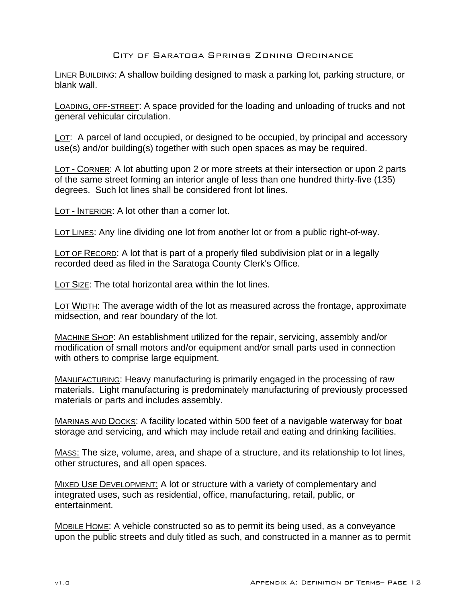LINER BUILDING: A shallow building designed to mask a parking lot, parking structure, or blank wall.

LOADING, OFF-STREET: A space provided for the loading and unloading of trucks and not general vehicular circulation.

LOT: A parcel of land occupied, or designed to be occupied, by principal and accessory use(s) and/or building(s) together with such open spaces as may be required.

LOT - CORNER: A lot abutting upon 2 or more streets at their intersection or upon 2 parts of the same street forming an interior angle of less than one hundred thirty-five (135) degrees. Such lot lines shall be considered front lot lines.

LOT - INTERIOR: A lot other than a corner lot.

LOT LINES: Any line dividing one lot from another lot or from a public right-of-way.

LOT OF RECORD: A lot that is part of a properly filed subdivision plat or in a legally recorded deed as filed in the Saratoga County Clerk's Office.

LOT SIZE: The total horizontal area within the lot lines.

LOT WIDTH: The average width of the lot as measured across the frontage, approximate midsection, and rear boundary of the lot.

MACHINE SHOP: An establishment utilized for the repair, servicing, assembly and/or modification of small motors and/or equipment and/or small parts used in connection with others to comprise large equipment.

MANUFACTURING: Heavy manufacturing is primarily engaged in the processing of raw materials. Light manufacturing is predominately manufacturing of previously processed materials or parts and includes assembly.

MARINAS AND DOCKS: A facility located within 500 feet of a navigable waterway for boat storage and servicing, and which may include retail and eating and drinking facilities.

MASS: The size, volume, area, and shape of a structure, and its relationship to lot lines, other structures, and all open spaces.

MIXED USE DEVELOPMENT: A lot or structure with a variety of complementary and integrated uses, such as residential, office, manufacturing, retail, public, or entertainment.

MOBILE HOME: A vehicle constructed so as to permit its being used, as a conveyance upon the public streets and duly titled as such, and constructed in a manner as to permit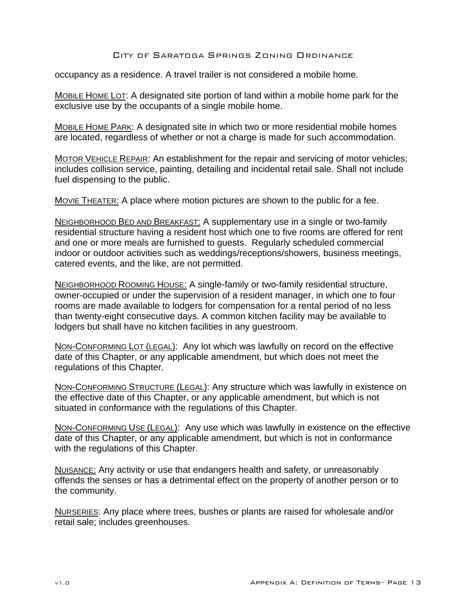occupancy as a residence. A travel trailer is not considered a mobile home.

MOBILE HOME LOT: A designated site portion of land within a mobile home park for the exclusive use by the occupants of a single mobile home.

MOBILE HOME PARK: A designated site in which two or more residential mobile homes are located, regardless of whether or not a charge is made for such accommodation.

MOTOR VEHICLE REPAIR: An establishment for the repair and servicing of motor vehicles; includes collision service, painting, detailing and incidental retail sale. Shall not include fuel dispensing to the public.

MOVIE THEATER: A place where motion pictures are shown to the public for a fee.

NEIGHBORHOOD BED AND BREAKFAST: A supplementary use in a single or two-family residential structure having a resident host which one to five rooms are offered for rent and one or more meals are furnished to guests. Regularly scheduled commercial indoor or outdoor activities such as weddings/receptions/showers, business meetings, catered events, and the like, are not permitted.

NEIGHBORHOOD ROOMING HOUSE: A single-family or two-family residential structure, owner-occupied or under the supervision of a resident manager, in which one to four rooms are made available to lodgers for compensation for a rental period of no less than twenty-eight consecutive days. A common kitchen facility may be available to lodgers but shall have no kitchen facilities in any guestroom.

NON-CONFORMING LOT (LEGAL): Any lot which was lawfully on record on the effective date of this Chapter, or any applicable amendment, but which does not meet the regulations of this Chapter.

NON-CONFORMING STRUCTURE (LEGAL): Any structure which was lawfully in existence on the effective date of this Chapter, or any applicable amendment, but which is not situated in conformance with the regulations of this Chapter.

NON-CONFORMING USE (LEGAL): Any use which was lawfully in existence on the effective date of this Chapter, or any applicable amendment, but which is not in conformance with the regulations of this Chapter.

NUISANCE: Any activity or use that endangers health and safety, or unreasonably offends the senses or has a detrimental effect on the property of another person or to the community.

NURSERIES: Any place where trees, bushes or plants are raised for wholesale and/or retail sale; includes greenhouses.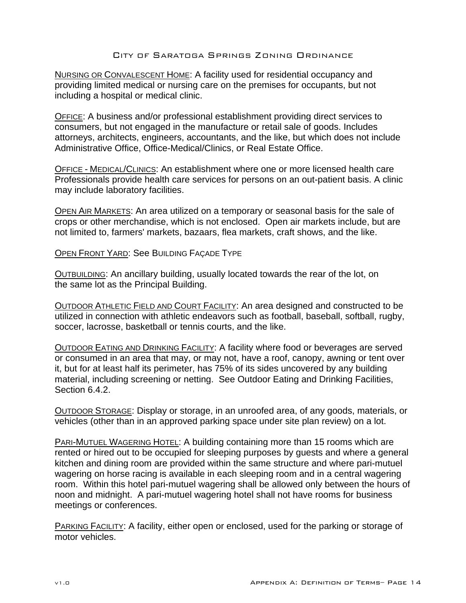NURSING OR CONVALESCENT HOME: A facility used for residential occupancy and providing limited medical or nursing care on the premises for occupants, but not including a hospital or medical clinic.

OFFICE: A business and/or professional establishment providing direct services to consumers, but not engaged in the manufacture or retail sale of goods. Includes attorneys, architects, engineers, accountants, and the like, but which does not include Administrative Office, Office-Medical/Clinics, or Real Estate Office.

OFFICE - MEDICAL/CLINICS: An establishment where one or more licensed health care Professionals provide health care services for persons on an out-patient basis. A clinic may include laboratory facilities.

OPEN AIR MARKETS: An area utilized on a temporary or seasonal basis for the sale of crops or other merchandise, which is not enclosed. Open air markets include, but are not limited to, farmers' markets, bazaars, flea markets, craft shows, and the like.

OPEN FRONT YARD: See BUILDING FAÇADE TYPE

OUTBUILDING: An ancillary building, usually located towards the rear of the lot, on the same lot as the Principal Building.

OUTDOOR ATHLETIC FIELD AND COURT FACILITY: An area designed and constructed to be utilized in connection with athletic endeavors such as football, baseball, softball, rugby, soccer, lacrosse, basketball or tennis courts, and the like.

OUTDOOR EATING AND DRINKING FACILITY: A facility where food or beverages are served or consumed in an area that may, or may not, have a roof, canopy, awning or tent over it, but for at least half its perimeter, has 75% of its sides uncovered by any building material, including screening or netting. See Outdoor Eating and Drinking Facilities, Section 6.4.2.

OUTDOOR STORAGE: Display or storage, in an unroofed area, of any goods, materials, or vehicles (other than in an approved parking space under site plan review) on a lot.

**PARI-MUTUEL WAGERING HOTEL:** A building containing more than 15 rooms which are rented or hired out to be occupied for sleeping purposes by guests and where a general kitchen and dining room are provided within the same structure and where pari-mutuel wagering on horse racing is available in each sleeping room and in a central wagering room. Within this hotel pari-mutuel wagering shall be allowed only between the hours of noon and midnight. A pari-mutuel wagering hotel shall not have rooms for business meetings or conferences.

PARKING FACILITY: A facility, either open or enclosed, used for the parking or storage of motor vehicles.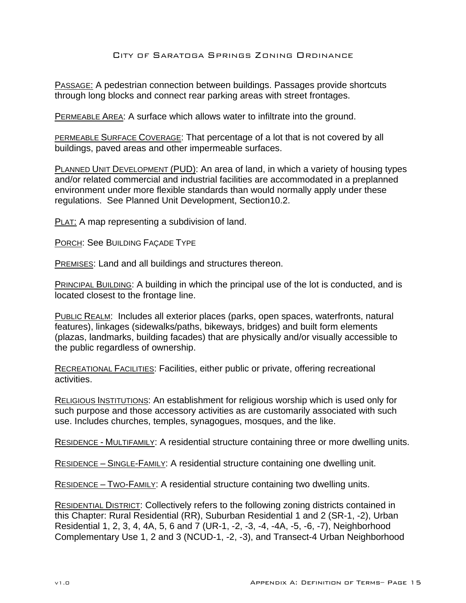PASSAGE: A pedestrian connection between buildings. Passages provide shortcuts through long blocks and connect rear parking areas with street frontages.

**PERMEABLE AREA:** A surface which allows water to infiltrate into the ground.

PERMEABLE SURFACE COVERAGE: That percentage of a lot that is not covered by all buildings, paved areas and other impermeable surfaces.

PLANNED UNIT DEVELOPMENT (PUD): An area of land, in which a variety of housing types and/or related commercial and industrial facilities are accommodated in a preplanned environment under more flexible standards than would normally apply under these regulations. See Planned Unit Development, Section10.2.

PLAT: A map representing a subdivision of land.

PORCH: See BUILDING FAÇADE TYPE

PREMISES: Land and all buildings and structures thereon.

PRINCIPAL BUILDING: A building in which the principal use of the lot is conducted, and is located closest to the frontage line.

PUBLIC REALM: Includes all exterior places (parks, open spaces, waterfronts, natural features), linkages (sidewalks/paths, bikeways, bridges) and built form elements (plazas, landmarks, building facades) that are physically and/or visually accessible to the public regardless of ownership.

RECREATIONAL FACILITIES: Facilities, either public or private, offering recreational activities.

RELIGIOUS INSTITUTIONS: An establishment for religious worship which is used only for such purpose and those accessory activities as are customarily associated with such use. Includes churches, temples, synagogues, mosques, and the like.

RESIDENCE - MULTIFAMILY: A residential structure containing three or more dwelling units.

RESIDENCE – SINGLE-FAMILY: A residential structure containing one dwelling unit.

RESIDENCE – TWO-FAMILY: A residential structure containing two dwelling units.

RESIDENTIAL DISTRICT: Collectively refers to the following zoning districts contained in this Chapter: Rural Residential (RR), Suburban Residential 1 and 2 (SR-1, -2), Urban Residential 1, 2, 3, 4, 4A, 5, 6 and 7 (UR-1, -2, -3, -4, -4A, -5, -6, -7), Neighborhood Complementary Use 1, 2 and 3 (NCUD-1, -2, -3), and Transect-4 Urban Neighborhood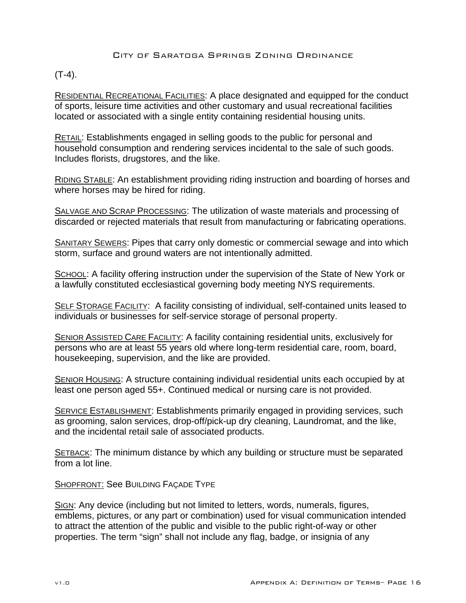# $(T-4)$ .

RESIDENTIAL RECREATIONAL FACILITIES: A place designated and equipped for the conduct of sports, leisure time activities and other customary and usual recreational facilities located or associated with a single entity containing residential housing units.

RETAIL: Establishments engaged in selling goods to the public for personal and household consumption and rendering services incidental to the sale of such goods. Includes florists, drugstores, and the like.

RIDING STABLE: An establishment providing riding instruction and boarding of horses and where horses may be hired for riding.

SALVAGE AND SCRAP PROCESSING: The utilization of waste materials and processing of discarded or rejected materials that result from manufacturing or fabricating operations.

SANITARY SEWERS: Pipes that carry only domestic or commercial sewage and into which storm, surface and ground waters are not intentionally admitted.

SCHOOL: A facility offering instruction under the supervision of the State of New York or a lawfully constituted ecclesiastical governing body meeting NYS requirements.

SELF STORAGE FACILITY: A facility consisting of individual, self-contained units leased to individuals or businesses for self-service storage of personal property.

SENIOR ASSISTED CARE FACILITY: A facility containing residential units, exclusively for persons who are at least 55 years old where long-term residential care, room, board, housekeeping, supervision, and the like are provided.

SENIOR HOUSING: A structure containing individual residential units each occupied by at least one person aged 55+. Continued medical or nursing care is not provided.

SERVICE ESTABLISHMENT: Establishments primarily engaged in providing services, such as grooming, salon services, drop-off/pick-up dry cleaning, Laundromat, and the like, and the incidental retail sale of associated products.

SETBACK: The minimum distance by which any building or structure must be separated from a lot line.

SHOPFRONT: See BUILDING FAÇADE TYPE

SIGN: Any device (including but not limited to letters, words, numerals, figures, emblems, pictures, or any part or combination) used for visual communication intended to attract the attention of the public and visible to the public right-of-way or other properties. The term "sign" shall not include any flag, badge, or insignia of any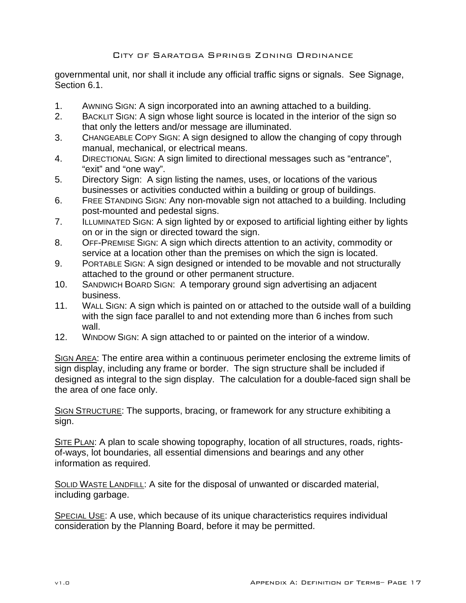governmental unit, nor shall it include any official traffic signs or signals. See Signage, Section 6.1.

- 1. AWNING SIGN: A sign incorporated into an awning attached to a building.
- 2. BACKLIT SIGN: A sign whose light source is located in the interior of the sign so that only the letters and/or message are illuminated.
- 3. CHANGEABLE COPY SIGN: A sign designed to allow the changing of copy through manual, mechanical, or electrical means.
- 4. DIRECTIONAL SIGN: A sign limited to directional messages such as "entrance", "exit" and "one way".
- 5. Directory Sign: A sign listing the names, uses, or locations of the various businesses or activities conducted within a building or group of buildings.
- 6. FREE STANDING SIGN: Any non-movable sign not attached to a building. Including post-mounted and pedestal signs.
- 7. ILLUMINATED SIGN: A sign lighted by or exposed to artificial lighting either by lights on or in the sign or directed toward the sign.
- 8. OFF-PREMISE SIGN: A sign which directs attention to an activity, commodity or service at a location other than the premises on which the sign is located.
- 9. PORTABLE SIGN: A sign designed or intended to be movable and not structurally attached to the ground or other permanent structure.
- 10. SANDWICH BOARD SIGN: A temporary ground sign advertising an adjacent business.
- 11. WALL SIGN: A sign which is painted on or attached to the outside wall of a building with the sign face parallel to and not extending more than 6 inches from such wall.
- 12. WINDOW SIGN: A sign attached to or painted on the interior of a window.

SIGN AREA: The entire area within a continuous perimeter enclosing the extreme limits of sign display, including any frame or border. The sign structure shall be included if designed as integral to the sign display. The calculation for a double-faced sign shall be the area of one face only.

SIGN STRUCTURE: The supports, bracing, or framework for any structure exhibiting a sign.

SITE PLAN: A plan to scale showing topography, location of all structures, roads, rightsof-ways, lot boundaries, all essential dimensions and bearings and any other information as required.

SOLID WASTE LANDFILL: A site for the disposal of unwanted or discarded material, including garbage.

SPECIAL USE: A use, which because of its unique characteristics requires individual consideration by the Planning Board, before it may be permitted.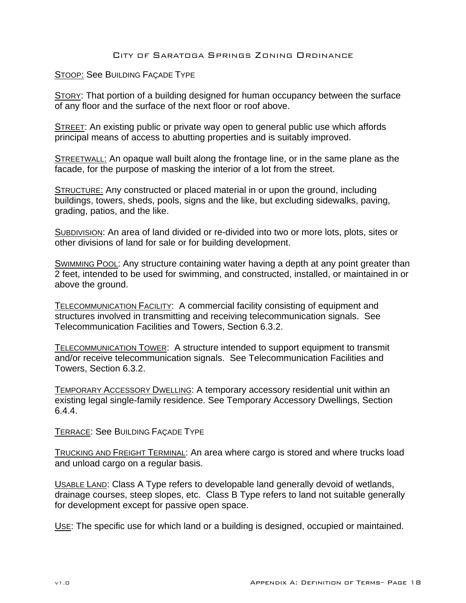STOOP: See BUILDING FAÇADE TYPE

STORY: That portion of a building designed for human occupancy between the surface of any floor and the surface of the next floor or roof above.

STREET: An existing public or private way open to general public use which affords principal means of access to abutting properties and is suitably improved.

**STREETWALL:** An opaque wall built along the frontage line, or in the same plane as the facade, for the purpose of masking the interior of a lot from the street.

STRUCTURE: Any constructed or placed material in or upon the ground, including buildings, towers, sheds, pools, signs and the like, but excluding sidewalks, paving, grading, patios, and the like.

SUBDIVISION: An area of land divided or re-divided into two or more lots, plots, sites or other divisions of land for sale or for building development.

SWIMMING POOL: Any structure containing water having a depth at any point greater than 2 feet, intended to be used for swimming, and constructed, installed, or maintained in or above the ground.

TELECOMMUNICATION FACILITY: A commercial facility consisting of equipment and structures involved in transmitting and receiving telecommunication signals. See Telecommunication Facilities and Towers, Section 6.3.2.

TELECOMMUNICATION TOWER: A structure intended to support equipment to transmit and/or receive telecommunication signals. See Telecommunication Facilities and Towers, Section 6.3.2.

TEMPORARY ACCESSORY DWELLING: A temporary accessory residential unit within an existing legal single-family residence. See Temporary Accessory Dwellings, Section 6.4.4.

TERRACE: See BUILDING FAÇADE TYPE

TRUCKING AND FREIGHT TERMINAL: An area where cargo is stored and where trucks load and unload cargo on a regular basis.

USABLE LAND: Class A Type refers to developable land generally devoid of wetlands, drainage courses, steep slopes, etc. Class B Type refers to land not suitable generally for development except for passive open space.

USE: The specific use for which land or a building is designed, occupied or maintained.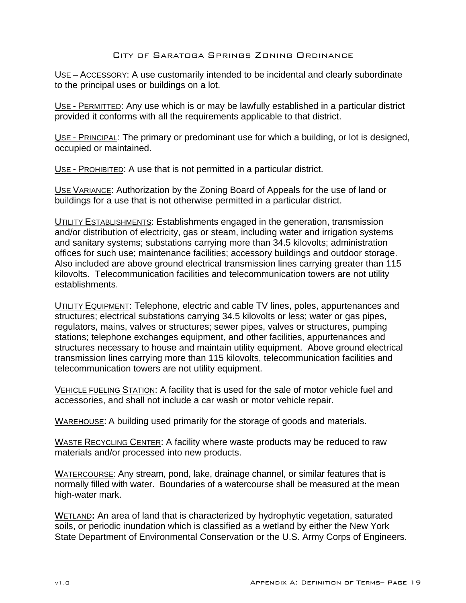USE – ACCESSORY: A use customarily intended to be incidental and clearly subordinate to the principal uses or buildings on a lot.

USE - PERMITTED: Any use which is or may be lawfully established in a particular district provided it conforms with all the requirements applicable to that district.

USE - PRINCIPAL: The primary or predominant use for which a building, or lot is designed, occupied or maintained.

USE - PROHIBITED: A use that is not permitted in a particular district.

USE VARIANCE: Authorization by the Zoning Board of Appeals for the use of land or buildings for a use that is not otherwise permitted in a particular district.

**UTILITY ESTABLISHMENTS: Establishments engaged in the generation, transmission** and/or distribution of electricity, gas or steam, including water and irrigation systems and sanitary systems; substations carrying more than 34.5 kilovolts; administration offices for such use; maintenance facilities; accessory buildings and outdoor storage. Also included are above ground electrical transmission lines carrying greater than 115 kilovolts. Telecommunication facilities and telecommunication towers are not utility establishments.

UTILITY EQUIPMENT: Telephone, electric and cable TV lines, poles, appurtenances and structures; electrical substations carrying 34.5 kilovolts or less; water or gas pipes, regulators, mains, valves or structures; sewer pipes, valves or structures, pumping stations; telephone exchanges equipment, and other facilities, appurtenances and structures necessary to house and maintain utility equipment. Above ground electrical transmission lines carrying more than 115 kilovolts, telecommunication facilities and telecommunication towers are not utility equipment.

VEHICLE FUELING STATION: A facility that is used for the sale of motor vehicle fuel and accessories, and shall not include a car wash or motor vehicle repair.

WAREHOUSE: A building used primarily for the storage of goods and materials.

WASTE RECYCLING CENTER: A facility where waste products may be reduced to raw materials and/or processed into new products.

WATERCOURSE: Any stream, pond, lake, drainage channel, or similar features that is normally filled with water. Boundaries of a watercourse shall be measured at the mean high-water mark.

WETLAND**:** An area of land that is characterized by hydrophytic vegetation, saturated soils, or periodic inundation which is classified as a wetland by either the New York State Department of Environmental Conservation or the U.S. Army Corps of Engineers.